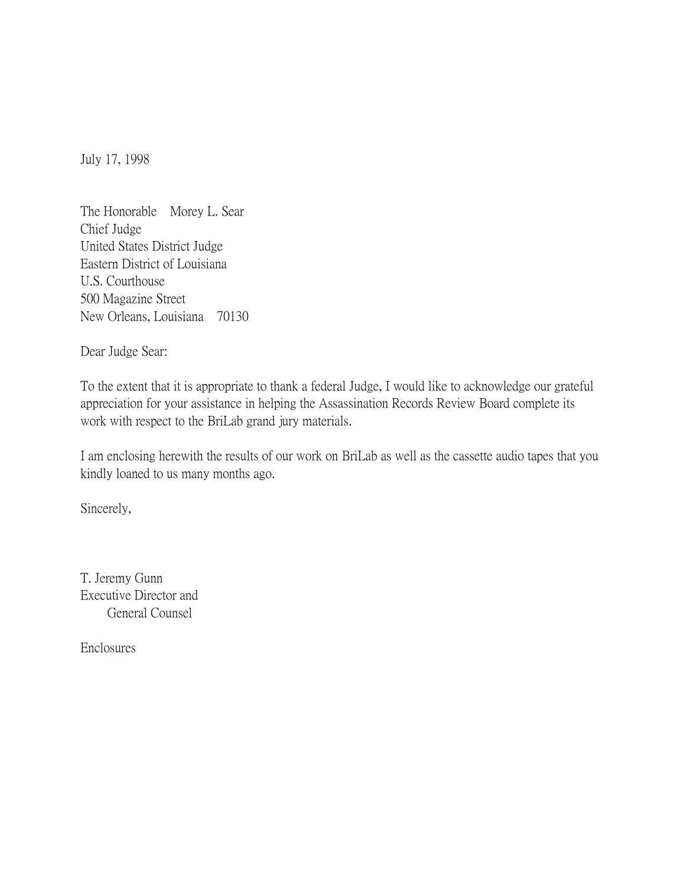July 17, 1998

The Honorable Morey L. Sear Chief Judge United States District Judge Eastern District of Louisiana U.S. Courthouse 500 Magazine Street New Orleans, Louisiana 70130

Dear Judge Sear:

To the extent that it is appropriate to thank a federal Judge, I would like to acknowledge our grateful appreciation for your assistance in helping the Assassination Records Review Board complete its work with respect to the BriLab grand jury materials.

I am enclosing herewith the results of our work on BriLab as well as the cassette audio tapes that you kindly loaned to us many months ago.

Sincerely,

T. Jeremy Gunn Executive Director and General Counsel

Enclosures